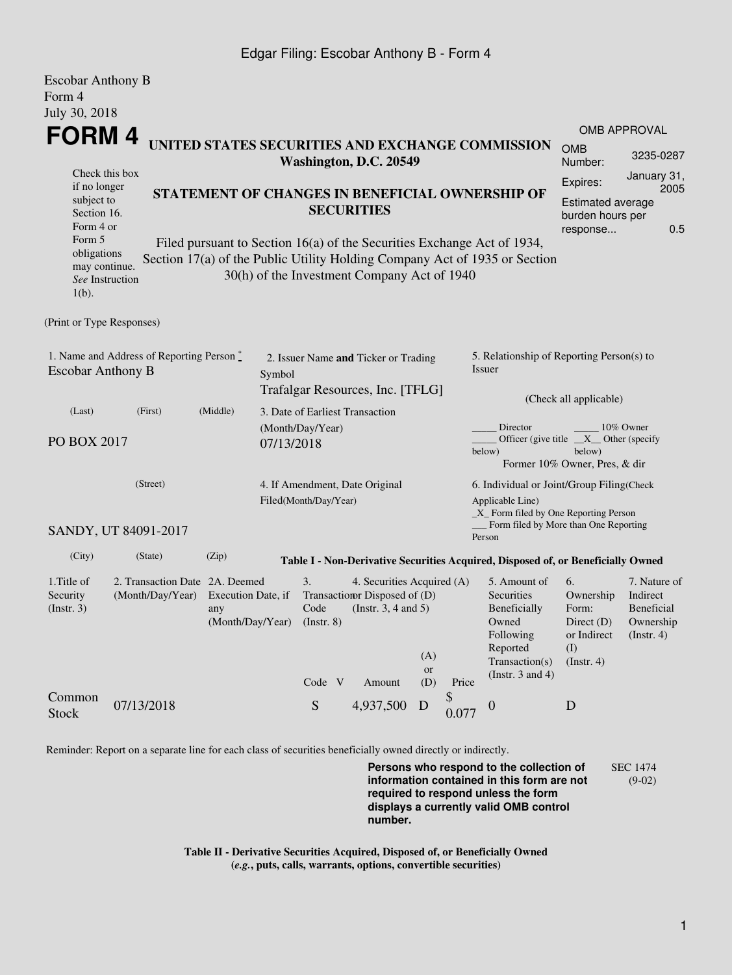## Edgar Filing: Escobar Anthony B - Form 4

| <b>Escobar Anthony B</b>                                   |                                                 |                                                                         |                                |                          |                                             |     |                                           |                                                                                  |                       |                         |  |
|------------------------------------------------------------|-------------------------------------------------|-------------------------------------------------------------------------|--------------------------------|--------------------------|---------------------------------------------|-----|-------------------------------------------|----------------------------------------------------------------------------------|-----------------------|-------------------------|--|
| Form 4                                                     |                                                 |                                                                         |                                |                          |                                             |     |                                           |                                                                                  |                       |                         |  |
| July 30, 2018                                              |                                                 |                                                                         |                                |                          |                                             |     |                                           |                                                                                  |                       |                         |  |
| FORM 4<br>UNITED STATES SECURITIES AND EXCHANGE COMMISSION |                                                 |                                                                         |                                |                          |                                             |     |                                           |                                                                                  | <b>OMB APPROVAL</b>   |                         |  |
|                                                            |                                                 |                                                                         |                                |                          |                                             |     |                                           |                                                                                  | <b>OMB</b>            | 3235-0287               |  |
| Check this box                                             |                                                 |                                                                         |                                |                          | Washington, D.C. 20549                      |     |                                           |                                                                                  | Number:               |                         |  |
| if no longer                                               |                                                 |                                                                         |                                |                          |                                             |     |                                           |                                                                                  | Expires:              | January 31,<br>2005     |  |
| subject to                                                 | STATEMENT OF CHANGES IN BENEFICIAL OWNERSHIP OF |                                                                         |                                |                          |                                             |     |                                           |                                                                                  | Estimated average     |                         |  |
| Section 16.                                                |                                                 | <b>SECURITIES</b>                                                       |                                |                          |                                             |     |                                           |                                                                                  | burden hours per      |                         |  |
| Form 4 or<br>Form 5                                        |                                                 | Filed pursuant to Section 16(a) of the Securities Exchange Act of 1934, |                                |                          |                                             |     |                                           |                                                                                  | response              | 0.5                     |  |
| obligations                                                |                                                 |                                                                         |                                |                          |                                             |     |                                           |                                                                                  |                       |                         |  |
| may continue.                                              |                                                 |                                                                         |                                |                          | 30(h) of the Investment Company Act of 1940 |     |                                           | Section 17(a) of the Public Utility Holding Company Act of 1935 or Section       |                       |                         |  |
| See Instruction                                            |                                                 |                                                                         |                                |                          |                                             |     |                                           |                                                                                  |                       |                         |  |
| $1(b)$ .                                                   |                                                 |                                                                         |                                |                          |                                             |     |                                           |                                                                                  |                       |                         |  |
| (Print or Type Responses)                                  |                                                 |                                                                         |                                |                          |                                             |     |                                           |                                                                                  |                       |                         |  |
|                                                            | 1. Name and Address of Reporting Person*        |                                                                         |                                |                          | 2. Issuer Name and Ticker or Trading        |     |                                           | 5. Relationship of Reporting Person(s) to                                        |                       |                         |  |
| <b>Escobar Anthony B</b>                                   |                                                 |                                                                         | Symbol                         |                          |                                             |     |                                           | Issuer                                                                           |                       |                         |  |
|                                                            |                                                 |                                                                         |                                |                          | Trafalgar Resources, Inc. [TFLG]            |     |                                           |                                                                                  |                       |                         |  |
|                                                            |                                                 |                                                                         |                                |                          |                                             |     |                                           | (Check all applicable)                                                           |                       |                         |  |
| (Last)                                                     | (First)                                         | (Middle)                                                                |                                |                          | 3. Date of Earliest Transaction             |     |                                           | Director                                                                         |                       | 10% Owner               |  |
| PO BOX 2017<br>07/13/2018                                  |                                                 |                                                                         | (Month/Day/Year)               |                          |                                             |     | Officer (give title $X$ Other (specify    |                                                                                  |                       |                         |  |
|                                                            |                                                 |                                                                         |                                |                          |                                             |     |                                           | below)<br>below)<br>Former 10% Owner, Pres, & dir                                |                       |                         |  |
|                                                            |                                                 |                                                                         |                                |                          |                                             |     |                                           |                                                                                  |                       |                         |  |
| (Street)                                                   |                                                 |                                                                         | 4. If Amendment, Date Original |                          |                                             |     | 6. Individual or Joint/Group Filing(Check |                                                                                  |                       |                         |  |
|                                                            |                                                 |                                                                         |                                | Filed(Month/Day/Year)    |                                             |     |                                           | Applicable Line)<br>$\_X$ Form filed by One Reporting Person                     |                       |                         |  |
|                                                            | SANDY, UT 84091-2017                            |                                                                         |                                |                          |                                             |     |                                           | Form filed by More than One Reporting                                            |                       |                         |  |
|                                                            |                                                 |                                                                         |                                |                          |                                             |     |                                           | Person                                                                           |                       |                         |  |
| (City)                                                     | (State)                                         | (Zip)                                                                   |                                |                          |                                             |     |                                           | Table I - Non-Derivative Securities Acquired, Disposed of, or Beneficially Owned |                       |                         |  |
| 1. Title of                                                | 2. Transaction Date 2A. Deemed                  |                                                                         |                                | 3.                       | 4. Securities Acquired (A)                  |     |                                           | 5. Amount of                                                                     | 6.                    | 7. Nature of            |  |
| Security                                                   | (Month/Day/Year)                                | Execution Date, if                                                      |                                |                          | Transaction Disposed of (D)                 |     |                                           | Securities                                                                       | Ownership             | Indirect                |  |
| (Insert. 3)                                                |                                                 | any<br>(Month/Day/Year)                                                 |                                | Code<br>$($ Instr. 8 $)$ | (Instr. $3, 4$ and $5$ )                    |     |                                           | Beneficially<br>Owned                                                            | Form:<br>Direct $(D)$ | Beneficial<br>Ownership |  |
|                                                            |                                                 |                                                                         |                                |                          |                                             |     |                                           | Following                                                                        | or Indirect           | (Insert. 4)             |  |
|                                                            |                                                 |                                                                         |                                |                          |                                             | (A) |                                           | Reported                                                                         | (I)                   |                         |  |
|                                                            |                                                 |                                                                         |                                |                          |                                             | or  |                                           | Transaction(s)<br>(Instr. $3$ and $4$ )                                          | (Insert. 4)           |                         |  |
|                                                            |                                                 |                                                                         |                                | Code V                   | Amount                                      | (D) | Price                                     |                                                                                  |                       |                         |  |
| Common                                                     | 07/13/2018                                      |                                                                         |                                | ${\bf S}$                | 4,937,500                                   | D   | \$                                        | $\boldsymbol{0}$                                                                 | D                     |                         |  |
| <b>Stock</b>                                               |                                                 |                                                                         |                                |                          |                                             |     | 0.077                                     |                                                                                  |                       |                         |  |
|                                                            |                                                 |                                                                         |                                |                          |                                             |     |                                           |                                                                                  |                       |                         |  |

Reminder: Report on a separate line for each class of securities beneficially owned directly or indirectly.

**Persons who respond to the collection of information contained in this form are not required to respond unless the form displays a currently valid OMB control number.** SEC 1474 (9-02)

**Table II - Derivative Securities Acquired, Disposed of, or Beneficially Owned (***e.g.***, puts, calls, warrants, options, convertible securities)**